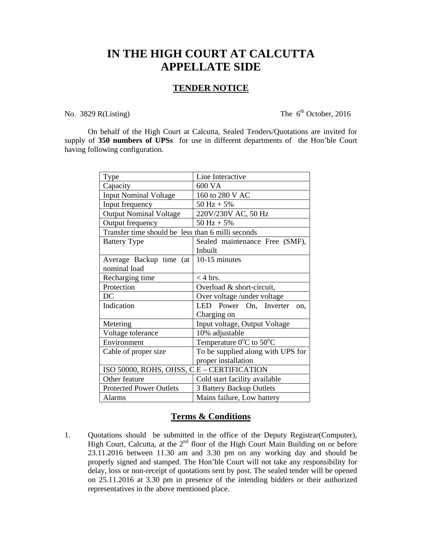## **IN THE HIGH COURT AT CALCUTTA APPELLATE SIDE**

## **TENDER NOTICE**

No. 3829 R(Listing) The  $6<sup>th</sup>$  October, 2016

 On behalf of the High Court at Calcutta, Sealed Tenders/Quotations are invited for supply of **350 numbers of UPSs** for use in different departments of the Hon'ble Court having following configuration.

| Type                                              | Line Interactive                             |
|---------------------------------------------------|----------------------------------------------|
| Capacity                                          | 600 VA                                       |
| <b>Input Nominal Voltage</b>                      | 160 to 280 V AC                              |
| Input frequency                                   | $50 \text{ Hz} + 5\%$                        |
| <b>Output Nominal Voltage</b>                     | 220V/230V AC, 50 Hz                          |
| Output frequency                                  | $50 \text{ Hz} + 5\%$                        |
| Transfer time should be less than 6 milli seconds |                                              |
| <b>Battery Type</b>                               | Sealed maintenance Free (SMF),               |
|                                                   | Inbuilt                                      |
| Average Backup time (at                           | 10-15 minutes                                |
| nominal load                                      |                                              |
| Recharging time                                   | $<$ 4 hrs.                                   |
| Protection                                        | Overload & short-circuit,                    |
| DC                                                | Over voltage /under voltage                  |
| Indication                                        | LED Power On, Inverter<br>on.                |
|                                                   | Charging on                                  |
| Metering                                          | Input voltage, Output Voltage                |
| Voltage tolerance                                 | 10% adjustable                               |
| Environment                                       | Temperature $0^{\circ}$ C to 50 $^{\circ}$ C |
| Cable of proper size                              | To be supplied along with UPS for            |
|                                                   | proper installation                          |
| ISO 50000, ROHS, OHSS, C E - CERTIFICATION        |                                              |
| Other feature                                     | Cold start facility available                |
| <b>Protected Power Outlets</b>                    | 3 Battery Backup Outlets                     |
| Alarms                                            | Mains failure, Low battery                   |

## **Terms & Conditions**

1. Quotations should be submitted in the office of the Deputy Registrar(Computer), High Court, Calcutta, at the  $2<sup>nd</sup>$  floor of the High Court Main Building on or before 23.11.2016 between 11.30 am and 3.30 pm on any working day and should be properly signed and stamped. The Hon'ble Court will not take any responsibility for delay, loss or non-receipt of quotations sent by post. The sealed tender will be opened on 25.11.2016 at 3.30 pm in presence of the intending bidders or their authorized representatives in the above mentioned place.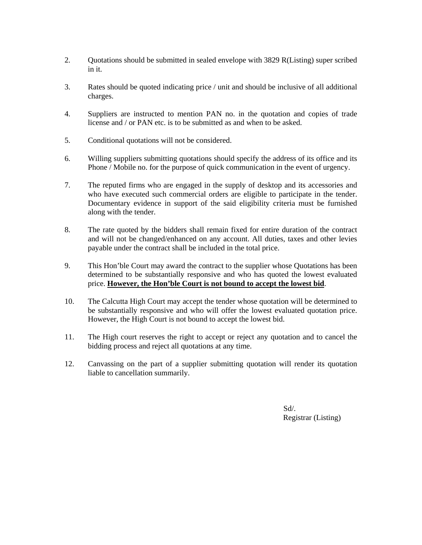- 2. Quotations should be submitted in sealed envelope with 3829 R(Listing) super scribed in it.
- 3. Rates should be quoted indicating price / unit and should be inclusive of all additional charges.
- 4. Suppliers are instructed to mention PAN no. in the quotation and copies of trade license and / or PAN etc. is to be submitted as and when to be asked.
- 5. Conditional quotations will not be considered.
- 6. Willing suppliers submitting quotations should specify the address of its office and its Phone / Mobile no. for the purpose of quick communication in the event of urgency.
- 7. The reputed firms who are engaged in the supply of desktop and its accessories and who have executed such commercial orders are eligible to participate in the tender. Documentary evidence in support of the said eligibility criteria must be furnished along with the tender.
- 8. The rate quoted by the bidders shall remain fixed for entire duration of the contract and will not be changed/enhanced on any account. All duties, taxes and other levies payable under the contract shall be included in the total price.
- 9. This Hon'ble Court may award the contract to the supplier whose Quotations has been determined to be substantially responsive and who has quoted the lowest evaluated price. **However, the Hon'ble Court is not bound to accept the lowest bid**.
- 10. The Calcutta High Court may accept the tender whose quotation will be determined to be substantially responsive and who will offer the lowest evaluated quotation price. However, the High Court is not bound to accept the lowest bid.
- 11. The High court reserves the right to accept or reject any quotation and to cancel the bidding process and reject all quotations at any time.
- 12. Canvassing on the part of a supplier submitting quotation will render its quotation liable to cancellation summarily.

 Sd/. Registrar (Listing)